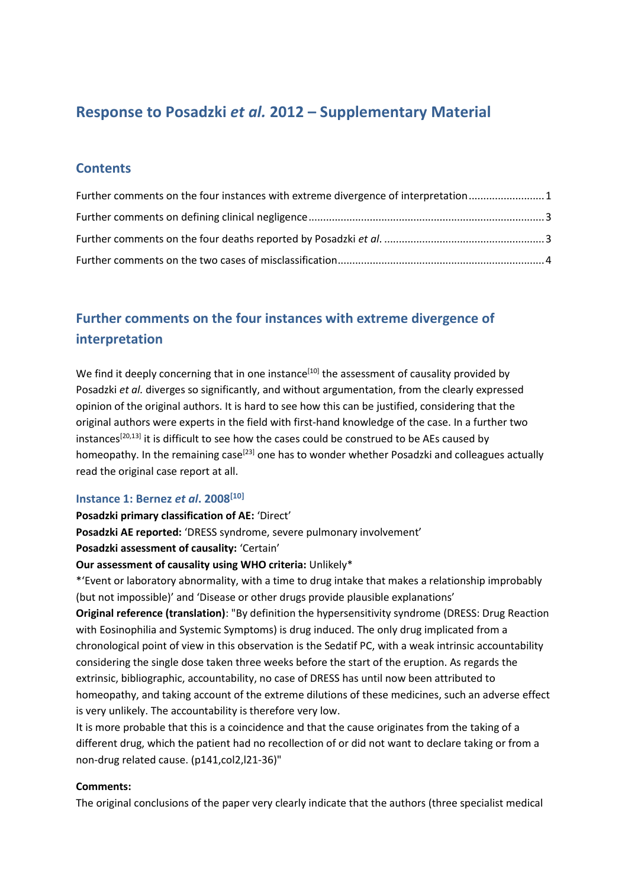# **Response to Posadzki** *et al.* **2012 – Supplementary Material**

### **Contents**

| Further comments on the four instances with extreme divergence of interpretation 1 |  |
|------------------------------------------------------------------------------------|--|
|                                                                                    |  |
|                                                                                    |  |
|                                                                                    |  |

# <span id="page-0-0"></span>**Further comments on the four instances with extreme divergence of interpretation**

We find it deeply concerning that in one instance<sup>[10]</sup> the assessment of causality provided by Posadzki *et al.* diverges so significantly, and without argumentation, from the clearly expressed opinion of the original authors. It is hard to see how this can be justified, considering that the original authors were experts in the field with first-hand knowledge of the case. In a further two instances<sup>[20,13]</sup> it is difficult to see how the cases could be construed to be AEs caused by homeopathy. In the remaining case<sup>[23]</sup> one has to wonder whether Posadzki and colleagues actually read the original case report at all.

#### **Instance 1: Bernez** *et al***. 2008[10]**

#### **Posadzki primary classification of AE:** 'Direct'

**Posadzki AE reported:** 'DRESS syndrome, severe pulmonary involvement'

**Posadzki assessment of causality:** 'Certain'

#### **Our assessment of causality using WHO criteria:** Unlikely\*

\*'Event or laboratory abnormality, with a time to drug intake that makes a relationship improbably (but not impossible)' and 'Disease or other drugs provide plausible explanations'

**Original reference (translation)**: "By definition the hypersensitivity syndrome (DRESS: Drug Reaction with Eosinophilia and Systemic Symptoms) is drug induced. The only drug implicated from a chronological point of view in this observation is the Sedatif PC, with a weak intrinsic accountability considering the single dose taken three weeks before the start of the eruption. As regards the extrinsic, bibliographic, accountability, no case of DRESS has until now been attributed to homeopathy, and taking account of the extreme dilutions of these medicines, such an adverse effect is very unlikely. The accountability is therefore very low.

It is more probable that this is a coincidence and that the cause originates from the taking of a different drug, which the patient had no recollection of or did not want to declare taking or from a non-drug related cause. (p141,col2,l21-36)"

#### **Comments:**

The original conclusions of the paper very clearly indicate that the authors (three specialist medical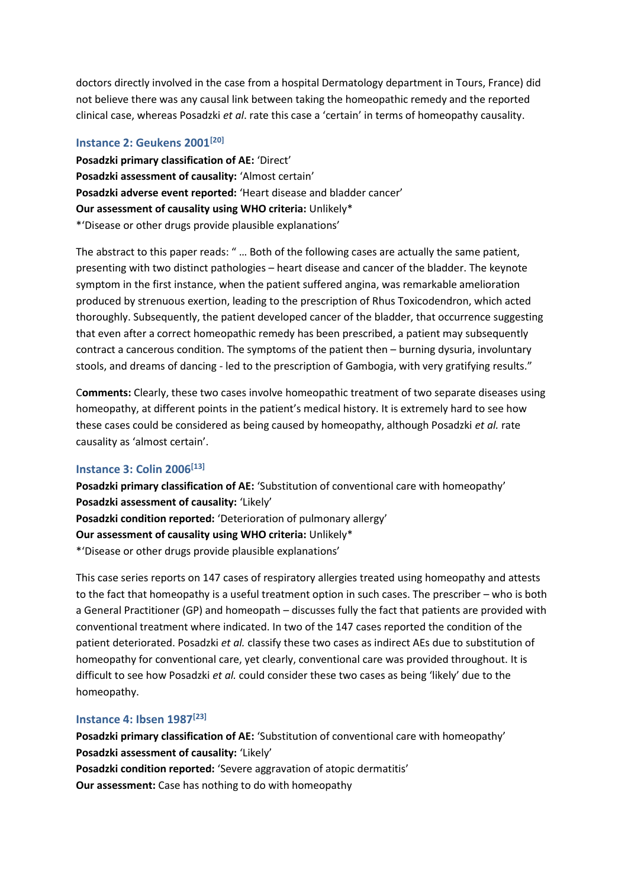doctors directly involved in the case from a hospital Dermatology department in Tours, France) did not believe there was any causal link between taking the homeopathic remedy and the reported clinical case, whereas Posadzki *et al*. rate this case a 'certain' in terms of homeopathy causality.

#### **Instance 2: Geukens 2001[20]**

**Posadzki primary classification of AE:** 'Direct' **Posadzki assessment of causality:** 'Almost certain' **Posadzki adverse event reported:** 'Heart disease and bladder cancer' **Our assessment of causality using WHO criteria:** Unlikely\* \*'Disease or other drugs provide plausible explanations'

The abstract to this paper reads: " … Both of the following cases are actually the same patient, presenting with two distinct pathologies – heart disease and cancer of the bladder. The keynote symptom in the first instance, when the patient suffered angina, was remarkable amelioration produced by strenuous exertion, leading to the prescription of Rhus Toxicodendron, which acted thoroughly. Subsequently, the patient developed cancer of the bladder, that occurrence suggesting that even after a correct homeopathic remedy has been prescribed, a patient may subsequently contract a cancerous condition. The symptoms of the patient then – burning dysuria, involuntary stools, and dreams of dancing - led to the prescription of Gambogia, with very gratifying results."

C**omments:** Clearly, these two cases involve homeopathic treatment of two separate diseases using homeopathy, at different points in the patient's medical history. It is extremely hard to see how these cases could be considered as being caused by homeopathy, although Posadzki *et al.* rate causality as 'almost certain'.

#### **Instance 3: Colin 2006[13]**

**Posadzki primary classification of AE:** 'Substitution of conventional care with homeopathy' **Posadzki assessment of causality:** 'Likely' **Posadzki condition reported:** 'Deterioration of pulmonary allergy' **Our assessment of causality using WHO criteria:** Unlikely\* \*'Disease or other drugs provide plausible explanations'

This case series reports on 147 cases of respiratory allergies treated using homeopathy and attests to the fact that homeopathy is a useful treatment option in such cases. The prescriber – who is both a General Practitioner (GP) and homeopath – discusses fully the fact that patients are provided with conventional treatment where indicated. In two of the 147 cases reported the condition of the patient deteriorated. Posadzki *et al.* classify these two cases as indirect AEs due to substitution of homeopathy for conventional care, yet clearly, conventional care was provided throughout. It is difficult to see how Posadzki *et al.* could consider these two cases as being 'likely' due to the homeopathy.

#### **Instance 4: Ibsen 1987[23]**

**Posadzki primary classification of AE:** 'Substitution of conventional care with homeopathy' **Posadzki assessment of causality:** 'Likely' **Posadzki condition reported:** 'Severe aggravation of atopic dermatitis' **Our assessment:** Case has nothing to do with homeopathy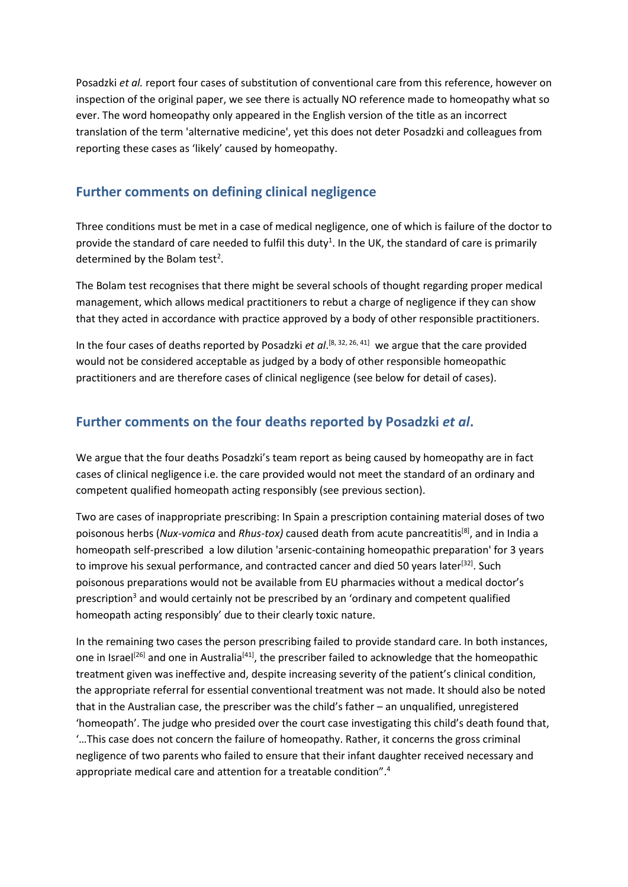Posadzki *et al.* report four cases of substitution of conventional care from this reference, however on inspection of the original paper, we see there is actually NO reference made to homeopathy what so ever. The word homeopathy only appeared in the English version of the title as an incorrect translation of the term 'alternative medicine', yet this does not deter Posadzki and colleagues from reporting these cases as 'likely' caused by homeopathy.

### <span id="page-2-0"></span>**Further comments on defining clinical negligence**

Three conditions must be met in a case of medical negligence, one of which is failure of the doctor to provide the standard of care needed to fulfil this duty<sup>1</sup>. In the UK, the standard of care is primarily determined by the Bolam test<sup>2</sup>.

The Bolam test recognises that there might be several schools of thought regarding proper medical management, which allows medical practitioners to rebut a charge of negligence if they can show that they acted in accordance with practice approved by a body of other responsible practitioners.

In the four cases of deaths reported by Posadzki *et al*. [8, 32, 26, 41] we argue that the care provided would not be considered acceptable as judged by a body of other responsible homeopathic practitioners and are therefore cases of clinical negligence (see below for detail of cases).

### <span id="page-2-1"></span>**Further comments on the four deaths reported by Posadzki** *et al***.**

We argue that the four deaths Posadzki's team report as being caused by homeopathy are in fact cases of clinical negligence i.e. the care provided would not meet the standard of an ordinary and competent qualified homeopath acting responsibly (see previous section).

Two are cases of inappropriate prescribing: In Spain a prescription containing material doses of two poisonous herbs (*Nux-vomica* and *Rhus-tox)* caused death from acute pancreatitis[8], and in India a homeopath self-prescribed a low dilution 'arsenic-containing homeopathic preparation' for 3 years to improve his sexual performance, and contracted cancer and died 50 years later<sup>[32]</sup>. Such poisonous preparations would not be available from EU pharmacies without a medical doctor's prescription<sup>3</sup> and would certainly not be prescribed by an 'ordinary and competent qualified homeopath acting responsibly' due to their clearly toxic nature.

In the remaining two cases the person prescribing failed to provide standard care. In both instances, one in Israel<sup>[26]</sup> and one in Australia<sup>[41]</sup>, the prescriber failed to acknowledge that the homeopathic treatment given was ineffective and, despite increasing severity of the patient's clinical condition, the appropriate referral for essential conventional treatment was not made. It should also be noted that in the Australian case, the prescriber was the child's father – an unqualified, unregistered 'homeopath'. The judge who presided over the court case investigating this child's death found that, '…This case does not concern the failure of homeopathy. Rather, it concerns the gross criminal negligence of two parents who failed to ensure that their infant daughter received necessary and appropriate medical care and attention for a treatable condition". 4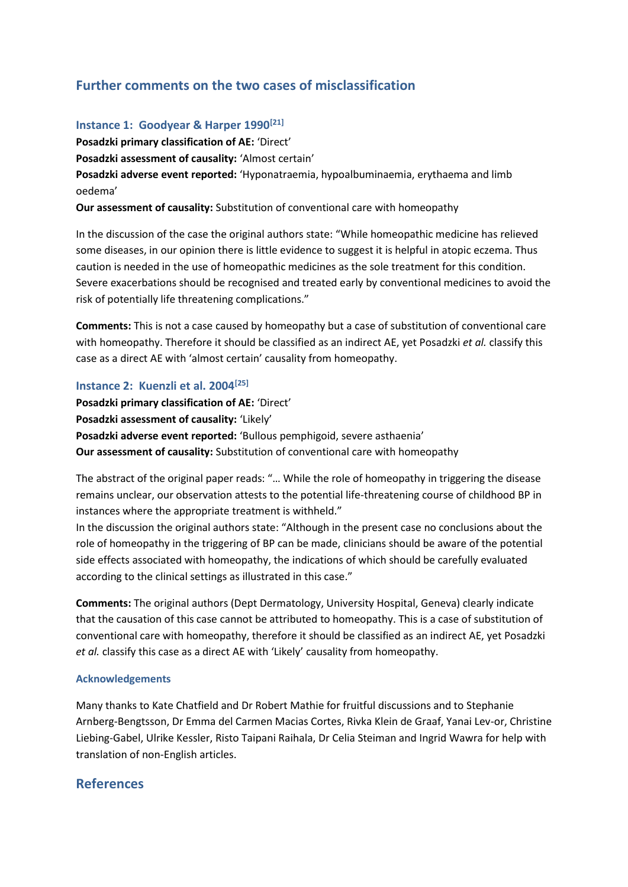## <span id="page-3-0"></span>**Further comments on the two cases of misclassification**

#### **Instance 1: Goodyear & Harper 1990[21]**

**Posadzki primary classification of AE:** 'Direct' **Posadzki assessment of causality:** 'Almost certain' **Posadzki adverse event reported:** 'Hyponatraemia, hypoalbuminaemia, erythaema and limb oedema'

**Our assessment of causality:** Substitution of conventional care with homeopathy

In the discussion of the case the original authors state: "While homeopathic medicine has relieved some diseases, in our opinion there is little evidence to suggest it is helpful in atopic eczema. Thus caution is needed in the use of homeopathic medicines as the sole treatment for this condition. Severe exacerbations should be recognised and treated early by conventional medicines to avoid the risk of potentially life threatening complications."

**Comments:** This is not a case caused by homeopathy but a case of substitution of conventional care with homeopathy. Therefore it should be classified as an indirect AE, yet Posadzki *et al.* classify this case as a direct AE with 'almost certain' causality from homeopathy.

#### **Instance 2: Kuenzli et al. 2004[25]**

**Posadzki primary classification of AE:** 'Direct' **Posadzki assessment of causality:** 'Likely' **Posadzki adverse event reported:** 'Bullous pemphigoid, severe asthaenia' **Our assessment of causality:** Substitution of conventional care with homeopathy

The abstract of the original paper reads: "… While the role of homeopathy in triggering the disease remains unclear, our observation attests to the potential life-threatening course of childhood BP in instances where the appropriate treatment is withheld."

In the discussion the original authors state: "Although in the present case no conclusions about the role of homeopathy in the triggering of BP can be made, clinicians should be aware of the potential side effects associated with homeopathy, the indications of which should be carefully evaluated according to the clinical settings as illustrated in this case."

**Comments:** The original authors (Dept Dermatology, University Hospital, Geneva) clearly indicate that the causation of this case cannot be attributed to homeopathy. This is a case of substitution of conventional care with homeopathy, therefore it should be classified as an indirect AE, yet Posadzki *et al.* classify this case as a direct AE with 'Likely' causality from homeopathy.

#### **Acknowledgements**

Many thanks to Kate Chatfield and Dr Robert Mathie for fruitful discussions and to Stephanie Arnberg-Bengtsson, Dr Emma del Carmen Macias Cortes, Rivka Klein de Graaf, Yanai Lev-or, Christine Liebing-Gabel, Ulrike Kessler, Risto Taipani Raihala, Dr Celia Steiman and Ingrid Wawra for help with translation of non-English articles.

### **References**